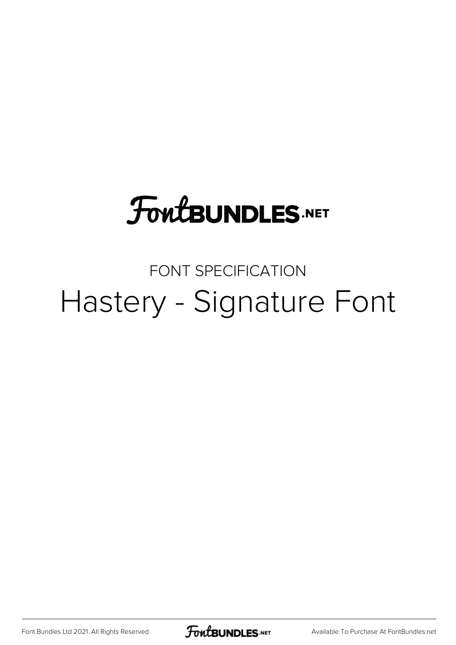## **FoutBUNDLES.NET**

## FONT SPECIFICATION Hastery - Signature Font

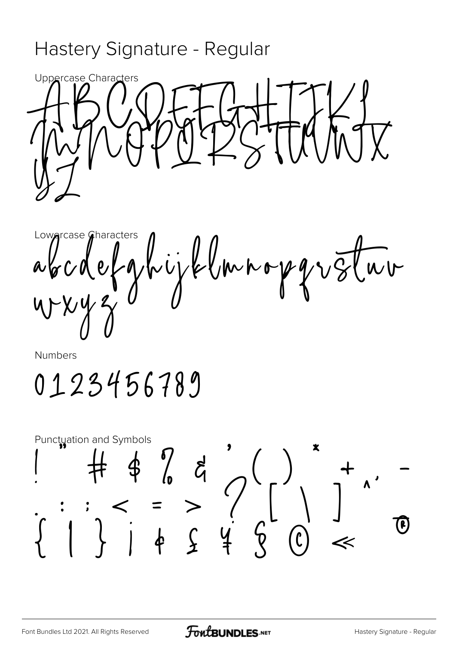## Hastery Signature - Regular



Lowarcase Characters Prijklmnopgvotur  $\alpha\gamma$ 

Numbers

0123456789

Punctuation and Symbols  $\# 424 (1) * 124 (1) * 124 (1) * 124 (1) * 124 (1) * 124 (1) * 124 (1) * 124 (1) * 124 (1) * 124 (1) * 124 (1) * 124 (1) * 124 (1) * 124 (1) * 124 (1) * 124 (1) * 124 (1) * 124 (1) * 124 (1) * 124 (1) * 124 (1) * 124 (1) * 124 (1) * 124 (1) * 124 (1) * 124 (1) * 124 (1) * 1$ (e)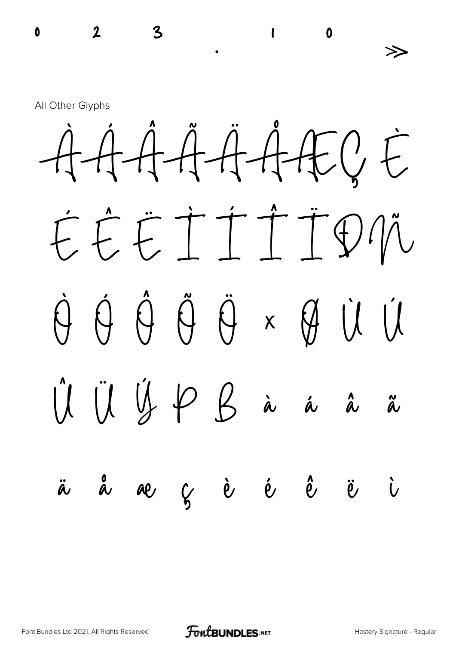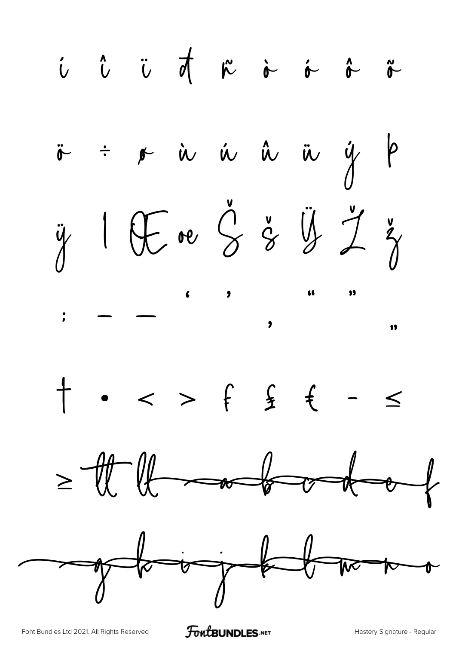i i i d n i i î n  $\ddot{\sigma}$  +  $\dot{\sigma}$  is a is a  $\ddot{\phi}$  b if I It ne 3 % if  $\zeta$  of  $+$  .  $-$  >  $f$   $f$   $f$  -  $\le$  $= \frac{1}{2}$ of the top for the top of